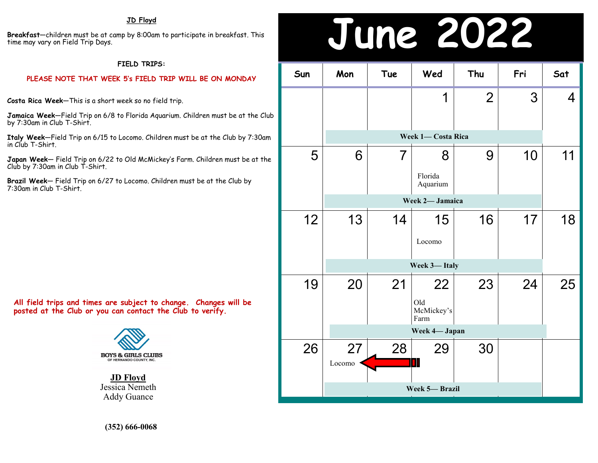**Breakfast**—children must be at camp by 8:00am to participate in breakfast. This time may vary on Field Trip Days.

### **FIELD TRIPS:**

### **PLEASE NOTE THAT WEEK 5's FIELD TRIP WILL BE ON MONDAY**

**Costa Rica Week**—This is a short week so no field trip.

**Jamaica Week**—Field Trip on 6/8 to Florida Aquarium. Children must be at the Club by 7:30am in Club T-Shirt.

**Italy Week**—Field Trip on 6/15 to Locomo. Children must be at the Club by 7:30am in Club T-Shirt.

**Japan Week**— Field Trip on 6/22 to Old McMickey's Farm. Children must be at the Club by 7:30am in Club T-Shirt.

**Brazil Week**— Field Trip on 6/27 to Locomo. Children must be at the Club by 7:30am in Club T-Shirt.

**All field trips and times are subject to change. Changes will be posted at the Club or you can contact the Club to verify.**



**JD Floyd** Jessica Nemeth Addy Guance

## **JD Floyd**<br>by 8:00am to participate in breakfast. This<br>**JUNE 2022**

| Sun | Mon           | Tue                | Wed                             | Thu            | Fri | Sat |  |
|-----|---------------|--------------------|---------------------------------|----------------|-----|-----|--|
|     |               |                    | 1                               | $\overline{2}$ | 3   | 4   |  |
|     |               | Week 1- Costa Rica |                                 |                |     |     |  |
| 5   | 6             | $\overline{7}$     | 8<br>Florida<br>Aquarium        | 9              | 10  | 11  |  |
|     |               |                    | Week 2- Jamaica                 |                |     |     |  |
| 12  | 13            | 14                 | 15<br>Locomo                    | 16             | 17  | 18  |  |
|     | Week 3-Italy  |                    |                                 |                |     |     |  |
| 19  | 20            | 21                 | 22<br>Old<br>McMickey's<br>Farm | 23             | 24  | 25  |  |
|     |               |                    | Week 4- Japan                   |                |     |     |  |
| 26  | 27<br>Locomo  | 28                 | 29<br>M                         | 30             |     |     |  |
|     | Week 5-Brazil |                    |                                 |                |     |     |  |

**(352) 666-0068**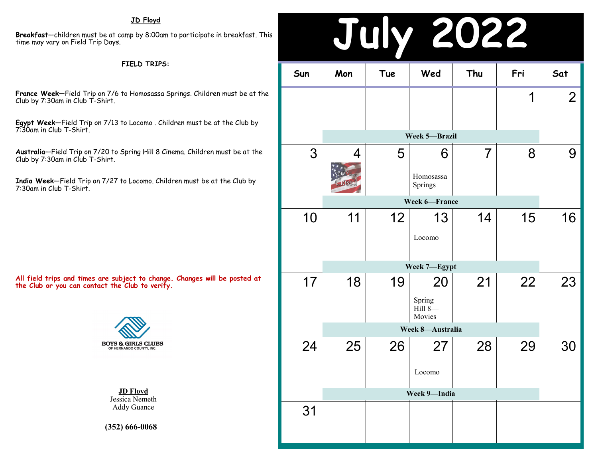## **JD Floyd**

**Breakfast**—children must be at camp by 8:00am to participate in breakfast. This time may vary on Field Trip Days.

### **FIELD TRIPS:**

**France Week**—Field Trip on 7/6 to Homosassa Springs. Children must be at the Club by 7:30am in Club T-Shirt.

**Egypt Week**—Field Trip on 7/13 to Locomo . Children must be at the Club by 7:30am in Club T-Shirt.

**Australia**—Field Trip on 7/20 to Spring Hill 8 Cinema. Children must be at the Club by 7:30am in Club T-Shirt.

**India Week**—Field Trip on 7/27 to Locomo. Children must be at the Club by 7:30am in Club T-Shirt.

**All field trips and times are subject to change. Changes will be posted at the Club or you can contact the Club to verify.**



**JD Floyd** Jessica Nemeth Addy Guance

**(352) 666-0068**

| 22<br>0)<br>$\overline{\phantom{a}}$<br>$\Box$ |                                |     |                                     |                |     |                |  |  |
|------------------------------------------------|--------------------------------|-----|-------------------------------------|----------------|-----|----------------|--|--|
| Sun                                            | Mon                            | Tue | Wed                                 | Thu            | Fri | Sat            |  |  |
|                                                |                                |     |                                     |                | 1   | $\overline{2}$ |  |  |
|                                                |                                |     | Week 5-Brazil                       |                |     |                |  |  |
| 3                                              | 4<br>5111 We're<br><b>OSec</b> | 5   | 6<br>Homosassa<br>Springs           | $\overline{7}$ | 8   | 9              |  |  |
|                                                |                                |     | Week 6-France                       |                |     |                |  |  |
| 10                                             | 11                             | 12  | 13<br>Locomo                        | 14             | 15  | 16             |  |  |
|                                                | Week 7-Egypt                   |     |                                     |                |     |                |  |  |
| 17                                             | 18                             | 19  | 20<br>Spring<br>$Hill 8-$<br>Movies | 21             | 22  | 23             |  |  |
|                                                | Week 8-Australia               |     |                                     |                |     |                |  |  |
| 24                                             | 25                             | 26  | Locomo                              | 28             | 29  | 30             |  |  |
|                                                | Week 9-India                   |     |                                     |                |     |                |  |  |
| 31                                             |                                |     |                                     |                |     |                |  |  |